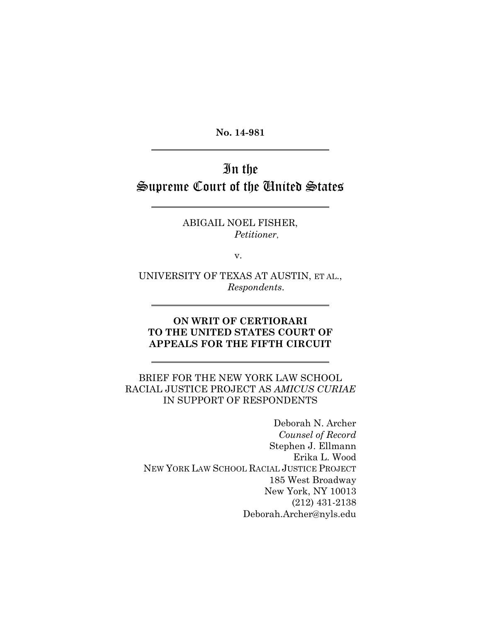**No. 14-981**

# In the Supreme Court of the United States

ABIGAIL NOEL FISHER, *Petitioner*,

v.

UNIVERSITY OF TEXAS AT AUSTIN, ET AL., *Respondents*.

### **ON WRIT OF CERTIORARI TO THE UNITED STATES COURT OF APPEALS FOR THE FIFTH CIRCUIT**

## BRIEF FOR THE NEW YORK LAW SCHOOL RACIAL JUSTICE PROJECT AS *AMICUS CURIAE* IN SUPPORT OF RESPONDENTS

Deborah N. Archer *Counsel of Record* Stephen J. Ellmann Erika L. Wood NEW YORK LAW SCHOOL RACIAL JUSTICE PROJECT 185 West Broadway New York, NY 10013 (212) 431-2138 Deborah.Archer@nyls.edu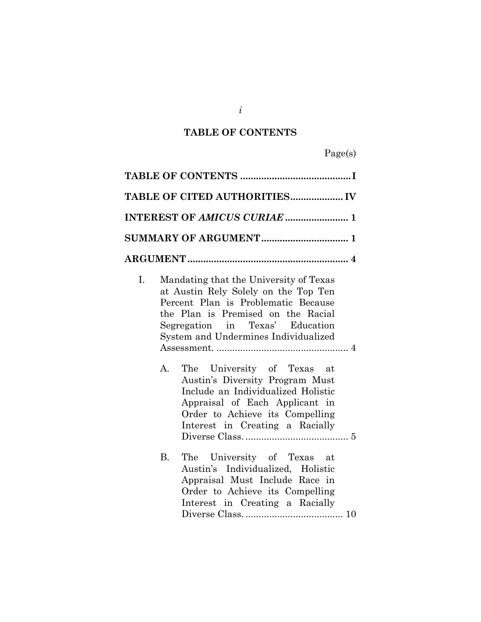## **TABLE OF CONTENTS**

Page(s)

<span id="page-1-0"></span>

| TABLE OF CITED AUTHORITIES IV                                                                                                                                                                                                                                                                                                                                                                                                                                     |
|-------------------------------------------------------------------------------------------------------------------------------------------------------------------------------------------------------------------------------------------------------------------------------------------------------------------------------------------------------------------------------------------------------------------------------------------------------------------|
|                                                                                                                                                                                                                                                                                                                                                                                                                                                                   |
|                                                                                                                                                                                                                                                                                                                                                                                                                                                                   |
|                                                                                                                                                                                                                                                                                                                                                                                                                                                                   |
| Mandating that the University of Texas<br>I.<br>at Austin Rely Solely on the Top Ten<br>Percent Plan is Problematic Because<br>the Plan is Premised on the Racial<br>Segregation in Texas' Education<br>System and Undermines Individualized<br>The University of Texas at<br>А.<br>Austin's Diversity Program Must<br>Include an Individualized Holistic<br>Appraisal of Each Applicant in<br>Order to Achieve its Compelling<br>Interest in Creating a Racially |
| <b>B.</b><br>The University of Texas at<br>Austin's Individualized, Holistic<br>Appraisal Must Include Race in<br>Order to Achieve its Compelling<br>Interest in Creating a Racially                                                                                                                                                                                                                                                                              |

*i*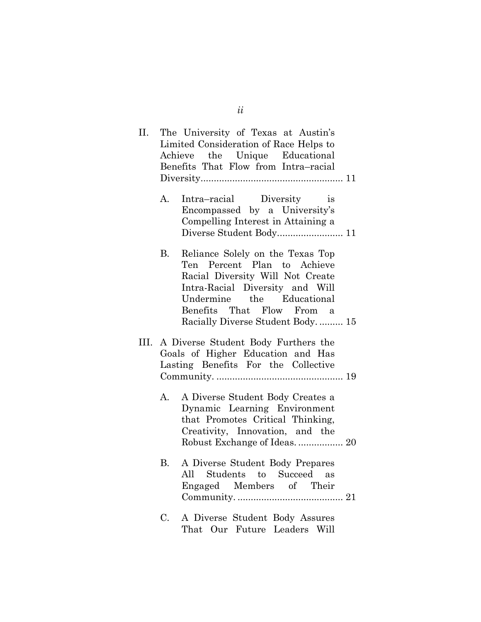| П. |    | The University of Texas at Austin's<br>Limited Consideration of Race Helps to<br>Achieve the Unique Educational<br>Benefits That Flow from Intra-racial                                                                              |
|----|----|--------------------------------------------------------------------------------------------------------------------------------------------------------------------------------------------------------------------------------------|
|    | A. | Intra-racial Diversity<br><i>is</i><br>Encompassed by a University's<br>Compelling Interest in Attaining a                                                                                                                           |
|    | В. | Reliance Solely on the Texas Top<br>Ten Percent Plan to Achieve<br>Racial Diversity Will Not Create<br>Intra-Racial Diversity and Will<br>Undermine the Educational<br>Benefits That Flow From a<br>Racially Diverse Student Body 15 |
|    |    | III. A Diverse Student Body Furthers the<br>Goals of Higher Education and Has<br>Lasting Benefits For the Collective                                                                                                                 |
|    | А. | A Diverse Student Body Creates a<br>Dynamic Learning Environment<br>that Promotes Critical Thinking,<br>Creativity, Innovation, and the                                                                                              |
|    | B. | A Diverse Student Body Prepares<br>All Students to Succeed as<br>Engaged Members of Their                                                                                                                                            |
|    | C. | A Diverse Student Body Assures<br>That Our Future Leaders Will                                                                                                                                                                       |

*ii*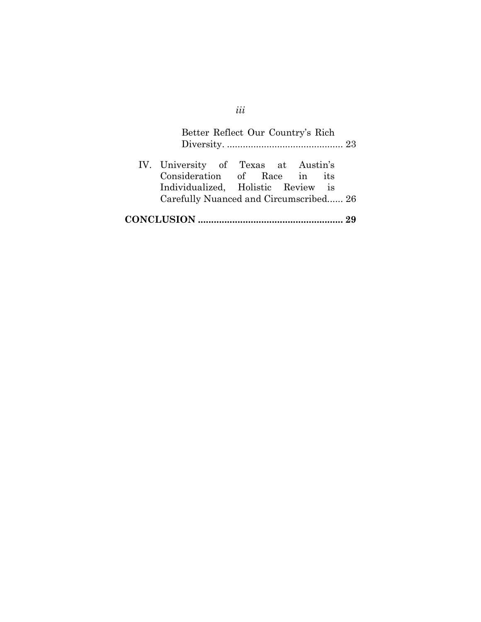|                                                                                                           | Better Reflect Our Country's Rich |  |
|-----------------------------------------------------------------------------------------------------------|-----------------------------------|--|
| IV. University of Texas at Austin's<br>Consideration of Race in its<br>Individualized, Holistic Review is |                                   |  |
| Carefully Nuanced and Circumscribed 26                                                                    |                                   |  |
|                                                                                                           |                                   |  |

# *iii*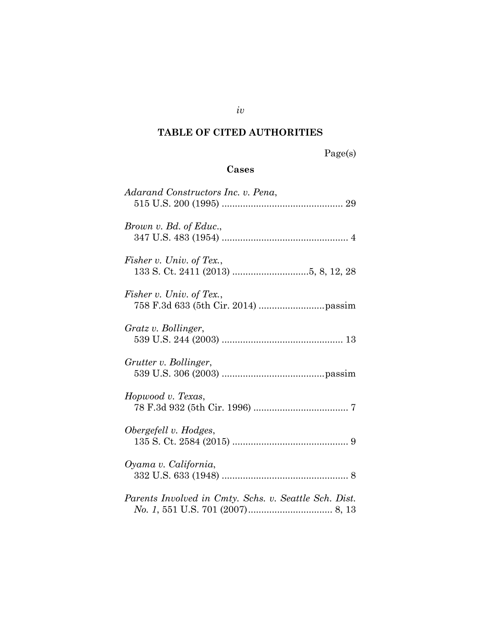## <span id="page-4-0"></span>**TABLE OF CITED AUTHORITIES**

Page(s)

## **Cases**

| Adarand Constructors Inc. v. Pena,                    |
|-------------------------------------------------------|
| Brown v. Bd. of Educ.,                                |
| Fisher v. Univ. of Tex.,                              |
| Fisher v. Univ. of Tex.,                              |
| Gratz v. Bollinger,                                   |
| Grutter v. Bollinger,                                 |
| Hopwood v. Texas,                                     |
| Obergefell v. Hodges,                                 |
| Oyama v. California,                                  |
| Parents Involved in Cmty. Schs. v. Seattle Sch. Dist. |

*iv*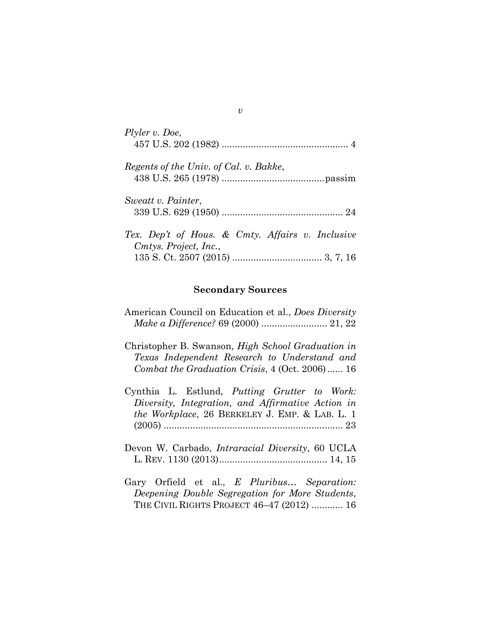| Plyler v. Doe,                                   |
|--------------------------------------------------|
|                                                  |
|                                                  |
| Regents of the Univ. of Cal. v. Bakke,           |
|                                                  |
|                                                  |
| Sweatt v. Painter,                               |
|                                                  |
|                                                  |
| Tex. Dep't of Hous. & Cmty. Affairs v. Inclusive |
| Cmtys. Project, Inc.,                            |
|                                                  |

#### **Secondary Sources**

| American Council on Education et al., Does Diversity |  |
|------------------------------------------------------|--|
|                                                      |  |

Christopher B. Swanson, *High School Graduation in Texas Independent Research to Understand and Combat the Graduation Crisis*, 4 (Oct. 2006)...... 16

Cynthia L. Estlund, *Putting Grutter to Work: Diversity, Integration, and Affirmative Action in the Workplace*, 26 BERKELEY J. EMP. & LAB. L. 1 (2005) .................................................................... 23

Devon W. Carbado, *Intraracial Diversity*, 60 UCLA L. REV. 1130 (2013)......................................... 14, 15

Gary Orfield et al., *E Pluribus… Separation: Deepening Double Segregation for More Students*, THE CIVIL RIGHTS PROJECT 46–47 (2012) ............ 16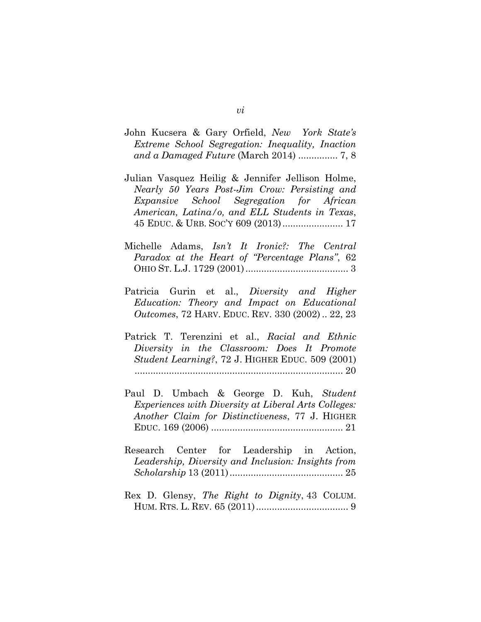- John Kucsera & Gary Orfield, *New York State's Extreme School Segregation: Inequality, Inaction and a Damaged Future* (March 2014) ............... 7, 8
- Julian Vasquez Heilig & Jennifer Jellison Holme, *Nearly 50 Years Post-Jim Crow: Persisting and Expansive School Segregation for African American, Latina/o, and ELL Students in Texas*, 45 EDUC. & URB. SOC'Y 609 (2013)....................... 17
- Michelle Adams, *Isn't It Ironic?: The Central Paradox at the Heart of "Percentage Plans"*, 62 OHIO ST. L.J. 1729 (2001)....................................... 3
- Patricia Gurin et al., *Diversity and Higher Education: Theory and Impact on Educational Outcomes*, 72 HARV. EDUC. REV. 330 (2002) .. 22, 23
- Patrick T. Terenzini et al., *Racial and Ethnic Diversity in the Classroom: Does It Promote Student Learning?*, 72 J. HIGHER EDUC. 509 (2001) ............................................................................... 20
- Paul D. Umbach & George D. Kuh, *Student Experiences with Diversity at Liberal Arts Colleges: Another Claim for Distinctiveness*, 77 J. HIGHER EDUC. 169 (2006) .................................................. 21
- Research Center for Leadership in Action, *Leadership, Diversity and Inclusion: Insights from Scholarship* 13 (2011)........................................... 25
- Rex D. Glensy, *The Right to Dignity*, 43 COLUM. HUM. RTS. L. REV. 65 (2011)................................... 9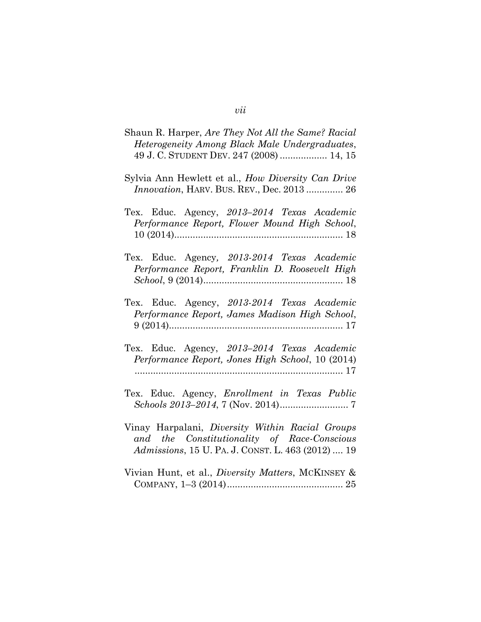| Shaun R. Harper, Are They Not All the Same? Racial<br>Heterogeneity Among Black Male Undergraduates,<br>49 J. C. STUDENT DEV. 247 (2008)  14, 15    |
|-----------------------------------------------------------------------------------------------------------------------------------------------------|
| Sylvia Ann Hewlett et al., How Diversity Can Drive<br><i>Innovation</i> , HARV. BUS. REV., Dec. 2013  26                                            |
| Tex. Educ. Agency, 2013-2014 Texas Academic<br>Performance Report, Flower Mound High School,                                                        |
| Tex. Educ. Agency, 2013-2014 Texas Academic<br>Performance Report, Franklin D. Roosevelt High                                                       |
| Tex. Educ. Agency, 2013-2014 Texas Academic<br>Performance Report, James Madison High School,                                                       |
| Tex. Educ. Agency, 2013-2014 Texas Academic<br>Performance Report, Jones High School, 10 (2014)                                                     |
| Tex. Educ. Agency, <i>Enrollment in Texas Public</i>                                                                                                |
| Vinay Harpalani, Diversity Within Racial Groups<br>and the Constitutionality of Race-Conscious<br>Admissions, 15 U. PA. J. CONST. L. 463 (2012)  19 |
| Vivian Hunt, et al., Diversity Matters, MCKINSEY &                                                                                                  |

*vii*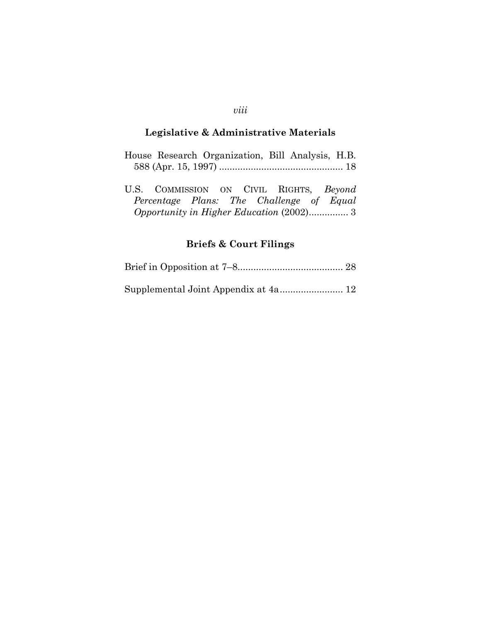## **Legislative & Administrative Materials**

|  | House Research Organization, Bill Analysis, H.B. |  |  |
|--|--------------------------------------------------|--|--|
|  |                                                  |  |  |

|  |  |  | U.S. COMMISSION ON CIVIL RIGHTS, Beyond  |
|--|--|--|------------------------------------------|
|  |  |  | Percentage Plans: The Challenge of Equal |
|  |  |  |                                          |

## **Briefs & Court Filings**

Supplemental Joint Appendix at 4a........................ 12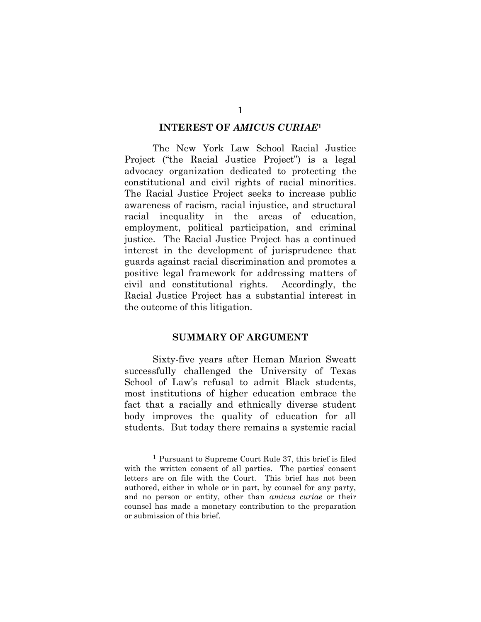#### **INTEREST OF** *AMICUS CURIAE***<sup>1</sup>**

<span id="page-9-0"></span>The New York Law School Racial Justice Project ("the Racial Justice Project") is a legal advocacy organization dedicated to protecting the constitutional and civil rights of racial minorities. The Racial Justice Project seeks to increase public awareness of racism, racial injustice, and structural racial inequality in the areas of education, employment, political participation, and criminal justice. The Racial Justice Project has a continued interest in the development of jurisprudence that guards against racial discrimination and promotes a positive legal framework for addressing matters of civil and constitutional rights. Accordingly, the Racial Justice Project has a substantial interest in the outcome of this litigation.

#### **SUMMARY OF ARGUMENT**

<span id="page-9-1"></span>Sixty-five years after Heman Marion Sweatt successfully challenged the University of Texas School of Law's refusal to admit Black students, most institutions of higher education embrace the fact that a racially and ethnically diverse student body improves the quality of education for all students. But today there remains a systemic racial

<sup>1</sup> Pursuant to Supreme Court Rule 37, this brief is filed with the written consent of all parties. The parties' consent letters are on file with the Court. This brief has not been authored, either in whole or in part, by counsel for any party, and no person or entity, other than *amicus curiae* or their counsel has made a monetary contribution to the preparation or submission of this brief.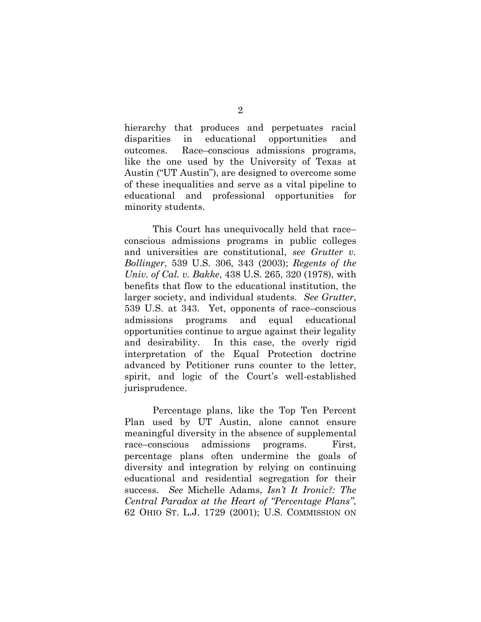hierarchy that produces and perpetuates racial disparities in educational opportunities and outcomes. Race–conscious admissions programs, like the one used by the University of Texas at Austin ("UT Austin"), are designed to overcome some of these inequalities and serve as a vital pipeline to educational and professional opportunities for minority students.

This Court has unequivocally held that race– conscious admissions programs in public colleges and universities are constitutional, *see Grutter v. Bollinger*, 539 U.S. 306, 343 (2003); *Regents of the Univ. of Cal. v. Bakke*, 438 U.S. 265, 320 (1978), with benefits that flow to the educational institution, the larger society, and individual students. *See Grutter*, 539 U.S. at 343. Yet, opponents of race–conscious admissions programs and equal educational opportunities continue to argue against their legality and desirability. In this case, the overly rigid interpretation of the Equal Protection doctrine advanced by Petitioner runs counter to the letter, spirit, and logic of the Court's well-established jurisprudence.

Percentage plans, like the Top Ten Percent Plan used by UT Austin, alone cannot ensure meaningful diversity in the absence of supplemental race–conscious admissions programs. First, percentage plans often undermine the goals of diversity and integration by relying on continuing educational and residential segregation for their success. *See* Michelle Adams, *Isn't It Ironic?: The Central Paradox at the Heart of "Percentage Plans"*, 62 OHIO ST. L.J. 1729 (2001); U.S. COMMISSION ON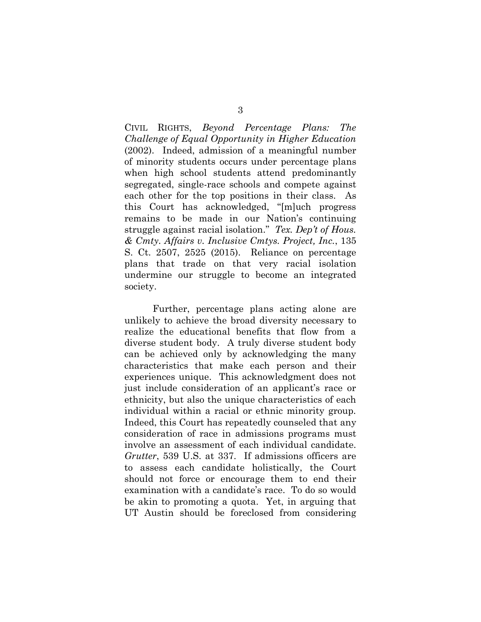CIVIL RIGHTS, *Beyond Percentage Plans: The Challenge of Equal Opportunity in Higher Education* (2002). Indeed, admission of a meaningful number of minority students occurs under percentage plans when high school students attend predominantly segregated, single-race schools and compete against each other for the top positions in their class. As this Court has acknowledged, "[m]uch progress remains to be made in our Nation's continuing struggle against racial isolation." *Tex. Dep't of Hous. & Cmty. Affairs v. Inclusive Cmtys. Project, Inc.*, 135 S. Ct. 2507, 2525 (2015). Reliance on percentage plans that trade on that very racial isolation undermine our struggle to become an integrated society.

Further, percentage plans acting alone are unlikely to achieve the broad diversity necessary to realize the educational benefits that flow from a diverse student body. A truly diverse student body can be achieved only by acknowledging the many characteristics that make each person and their experiences unique. This acknowledgment does not just include consideration of an applicant's race or ethnicity, but also the unique characteristics of each individual within a racial or ethnic minority group. Indeed, this Court has repeatedly counseled that any consideration of race in admissions programs must involve an assessment of each individual candidate. *Grutter*, 539 U.S. at 337. If admissions officers are to assess each candidate holistically, the Court should not force or encourage them to end their examination with a candidate's race. To do so would be akin to promoting a quota. Yet, in arguing that UT Austin should be foreclosed from considering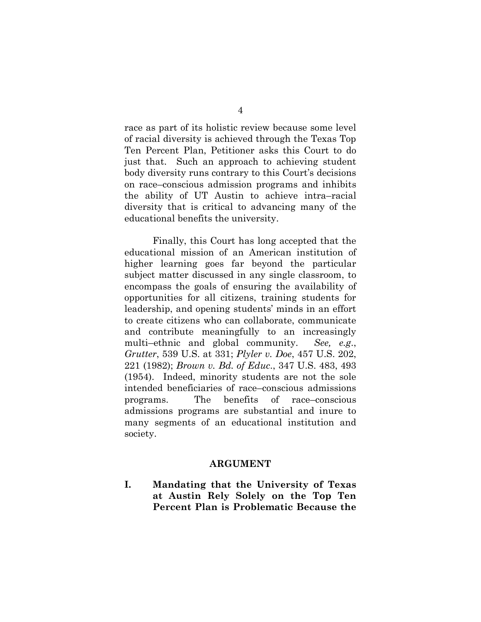race as part of its holistic review because some level of racial diversity is achieved through the Texas Top Ten Percent Plan, Petitioner asks this Court to do just that. Such an approach to achieving student body diversity runs contrary to this Court's decisions on race–conscious admission programs and inhibits the ability of UT Austin to achieve intra–racial diversity that is critical to advancing many of the educational benefits the university.

Finally, this Court has long accepted that the educational mission of an American institution of higher learning goes far beyond the particular subject matter discussed in any single classroom, to encompass the goals of ensuring the availability of opportunities for all citizens, training students for leadership, and opening students' minds in an effort to create citizens who can collaborate, communicate and contribute meaningfully to an increasingly multi–ethnic and global community. *See, e.g*., *Grutter*, 539 U.S. at 331; *Plyler v. Doe*, 457 U.S. 202, 221 (1982); *Brown v. Bd. of Educ*., 347 U.S. 483, 493 (1954). Indeed, minority students are not the sole intended beneficiaries of race–conscious admissions programs. The benefits of race–conscious admissions programs are substantial and inure to many segments of an educational institution and society.

#### **ARGUMENT**

<span id="page-12-1"></span><span id="page-12-0"></span>**I. Mandating that the University of Texas at Austin Rely Solely on the Top Ten Percent Plan is Problematic Because the**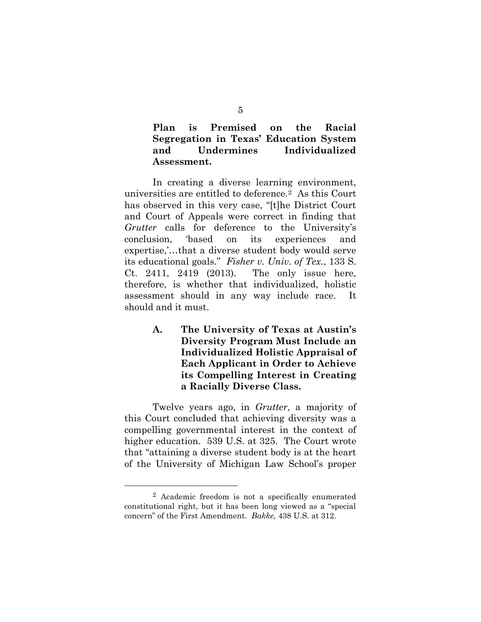**Plan is Premised on the Racial Segregation in Texas' Education System and Undermines Individualized Assessment.**

In creating a diverse learning environment, universities are entitled to deference.<sup>2</sup> As this Court has observed in this very case, "[t]he District Court and Court of Appeals were correct in finding that *Grutter* calls for deference to the University's conclusion, 'based on its experiences and expertise,'…that a diverse student body would serve its educational goals." *Fisher v. Univ. of Tex.*, 133 S. Ct. 2411, 2419 (2013). The only issue here, therefore, is whether that individualized, holistic assessment should in any way include race. It should and it must.

> <span id="page-13-0"></span>**A. The University of Texas at Austin's Diversity Program Must Include an Individualized Holistic Appraisal of Each Applicant in Order to Achieve its Compelling Interest in Creating a Racially Diverse Class.**

Twelve years ago, in *Grutter*, a majority of this Court concluded that achieving diversity was a compelling governmental interest in the context of higher education. 539 U.S. at 325. The Court wrote that "attaining a diverse student body is at the heart of the University of Michigan Law School's proper

l

<sup>2</sup> Academic freedom is not a specifically enumerated constitutional right, but it has been long viewed as a "special concern" of the First Amendment. *Bakke,* 438 U.S. at 312.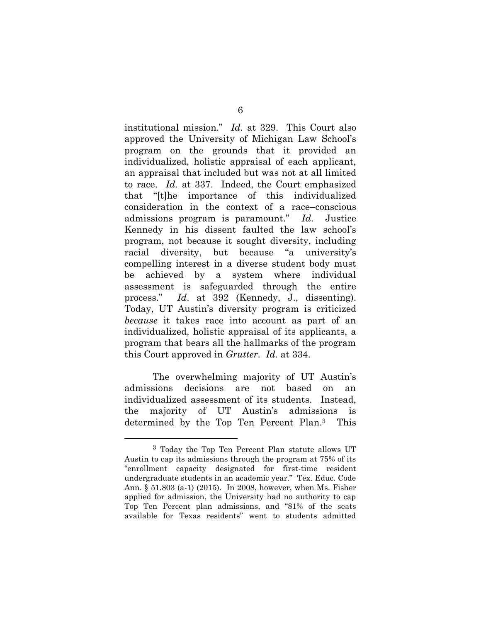institutional mission." *Id.* at 329.This Court also approved the University of Michigan Law School's program on the grounds that it provided an individualized, holistic appraisal of each applicant, an appraisal that included but was not at all limited to race. *Id.* at 337. Indeed, the Court emphasized that "[t]he importance of this individualized consideration in the context of a race–conscious admissions program is paramount." *Id*. Justice Kennedy in his dissent faulted the law school's program, not because it sought diversity, including racial diversity, but because "a university's compelling interest in a diverse student body must be achieved by a system where individual assessment is safeguarded through the entire process." *Id*. at 392 (Kennedy, J., dissenting). Today, UT Austin's diversity program is criticized *because* it takes race into account as part of an individualized, holistic appraisal of its applicants, a program that bears all the hallmarks of the program this Court approved in *Grutter*. *Id.* at 334.

The overwhelming majority of UT Austin's admissions decisions are not based on an individualized assessment of its students. Instead, the majority of UT Austin's admissions is determined by the Top Ten Percent Plan.<sup>3</sup> This

<sup>3</sup> Today the Top Ten Percent Plan statute allows UT Austin to cap its admissions through the program at 75% of its "enrollment capacity designated for first-time resident undergraduate students in an academic year." Tex. Educ. Code Ann. § 51.803 (a-1) (2015). In 2008, however, when Ms. Fisher applied for admission, the University had no authority to cap Top Ten Percent plan admissions, and "81% of the seats available for Texas residents" went to students admitted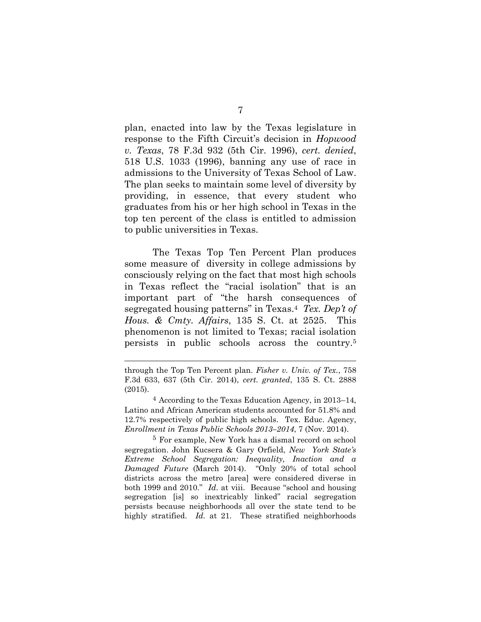plan, enacted into law by the Texas legislature in response to the Fifth Circuit's decision in *Hopwood v. Texas*, 78 F.3d 932 (5th Cir. 1996), *cert. denied*, 518 U.S. 1033 (1996), banning any use of race in admissions to the University of Texas School of Law. The plan seeks to maintain some level of diversity by providing, in essence, that every student who graduates from his or her high school in Texas in the top ten percent of the class is entitled to admission to public universities in Texas.

The Texas Top Ten Percent Plan produces some measure of diversity in college admissions by consciously relying on the fact that most high schools in Texas reflect the "racial isolation" that is an important part of "the harsh consequences of segregated housing patterns" in Texas.<sup>4</sup> *Tex. Dep't of Hous. & Cmty. Affairs*, 135 S. Ct. at 2525. This phenomenon is not limited to Texas; racial isolation persists in public schools across the country. 5

l

5 For example, New York has a dismal record on school segregation. John Kucsera & Gary Orfield, *New York State's Extreme School Segregation: Inequality, Inaction and a Damaged Future* (March 2014). "Only 20% of total school districts across the metro [area] were considered diverse in both 1999 and 2010." *Id*. at viii. Because "school and housing segregation [is] so inextricably linked" racial segregation persists because neighborhoods all over the state tend to be highly stratified. *Id.* at 21. These stratified neighborhoods

through the Top Ten Percent plan. *Fisher v. Univ. of Tex.*, 758 F.3d 633, 637 (5th Cir. 2014), *cert. granted*, 135 S. Ct. 2888 (2015).

<sup>4</sup> According to the Texas Education Agency, in 2013–14, Latino and African American students accounted for 51.8% and 12.7% respectively of public high schools. Tex. Educ. Agency, *Enrollment in Texas Public Schools 2013–2014*, 7 (Nov. 2014).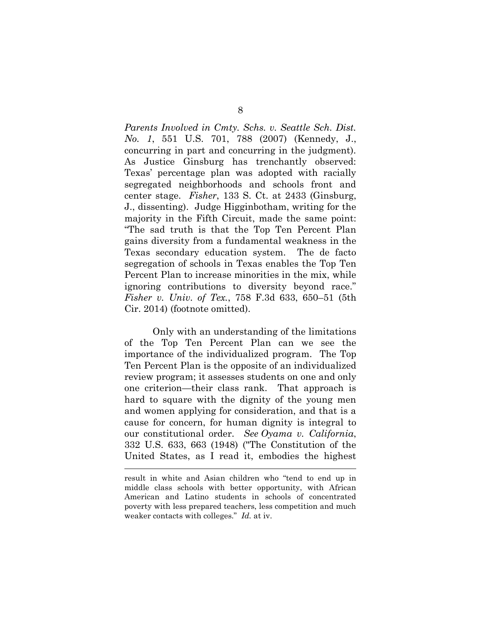*Parents Involved in Cmty. Schs. v. Seattle Sch. Dist. No. 1*, 551 U.S. 701, 788 (2007) (Kennedy, J., concurring in part and concurring in the judgment). As Justice Ginsburg has trenchantly observed: Texas' percentage plan was adopted with racially segregated neighborhoods and schools front and center stage. *Fisher*, 133 S. Ct. at 2433 (Ginsburg, J., dissenting). Judge Higginbotham, writing for the majority in the Fifth Circuit, made the same point: "The sad truth is that the Top Ten Percent Plan gains diversity from a fundamental weakness in the Texas secondary education system. The de facto segregation of schools in Texas enables the Top Ten Percent Plan to increase minorities in the mix, while ignoring contributions to diversity beyond race." *Fisher v. Univ. of Tex.*, 758 F.3d 633, 650–51 (5th Cir. 2014) (footnote omitted).

Only with an understanding of the limitations of the Top Ten Percent Plan can we see the importance of the individualized program. The Top Ten Percent Plan is the opposite of an individualized review program; it assesses students on one and only one criterion—their class rank. That approach is hard to square with the dignity of the young men and women applying for consideration, and that is a cause for concern, for human dignity is integral to our constitutional order. *See Oyama v. California*, 332 U.S. 633, 663 (1948) ("The Constitution of the United States, as I read it, embodies the highest

result in white and Asian children who "tend to end up in middle class schools with better opportunity, with African American and Latino students in schools of concentrated poverty with less prepared teachers, less competition and much weaker contacts with colleges." *Id.* at iv.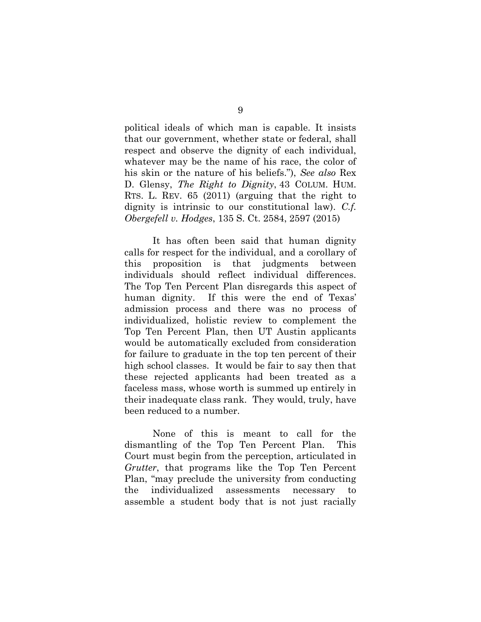political ideals of which man is capable. It insists that our government, whether state or federal, shall respect and observe the dignity of each individual, whatever may be the name of his race, the color of his skin or the nature of his beliefs."), *See also* Rex D. Glensy, *The Right to Dignity*, 43 COLUM. HUM. RTS. L. REV. 65 (2011) (arguing that the right to dignity is intrinsic to our constitutional law). *C.f. Obergefell v. Hodges*, 135 S. Ct. 2584, 2597 (2015)

It has often been said that human dignity calls for respect for the individual, and a corollary of this proposition is that judgments between individuals should reflect individual differences. The Top Ten Percent Plan disregards this aspect of human dignity. If this were the end of Texas' admission process and there was no process of individualized, holistic review to complement the Top Ten Percent Plan, then UT Austin applicants would be automatically excluded from consideration for failure to graduate in the top ten percent of their high school classes. It would be fair to say then that these rejected applicants had been treated as a faceless mass, whose worth is summed up entirely in their inadequate class rank. They would, truly, have been reduced to a number.

None of this is meant to call for the dismantling of the Top Ten Percent Plan. This Court must begin from the perception, articulated in *Grutter*, that programs like the Top Ten Percent Plan, "may preclude the university from conducting the individualized assessments necessary to assemble a student body that is not just racially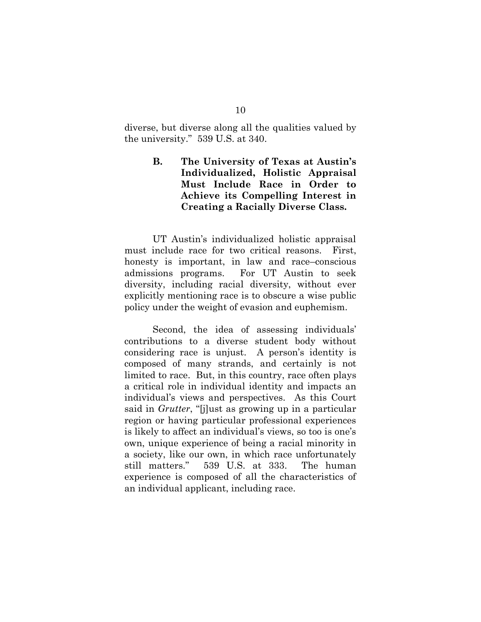diverse, but diverse along all the qualities valued by the university." 539 U.S. at 340.

## <span id="page-18-0"></span>**B. The University of Texas at Austin's Individualized, Holistic Appraisal Must Include Race in Order to Achieve its Compelling Interest in Creating a Racially Diverse Class.**

UT Austin's individualized holistic appraisal must include race for two critical reasons. First, honesty is important, in law and race–conscious admissions programs. For UT Austin to seek diversity, including racial diversity, without ever explicitly mentioning race is to obscure a wise public policy under the weight of evasion and euphemism.

Second, the idea of assessing individuals' contributions to a diverse student body without considering race is unjust. A person's identity is composed of many strands, and certainly is not limited to race. But, in this country, race often plays a critical role in individual identity and impacts an individual's views and perspectives. As this Court said in *Grutter*, "[j]ust as growing up in a particular region or having particular professional experiences is likely to affect an individual's views, so too is one's own, unique experience of being a racial minority in a society, like our own, in which race unfortunately still matters." 539 U.S. at 333. The human experience is composed of all the characteristics of an individual applicant, including race.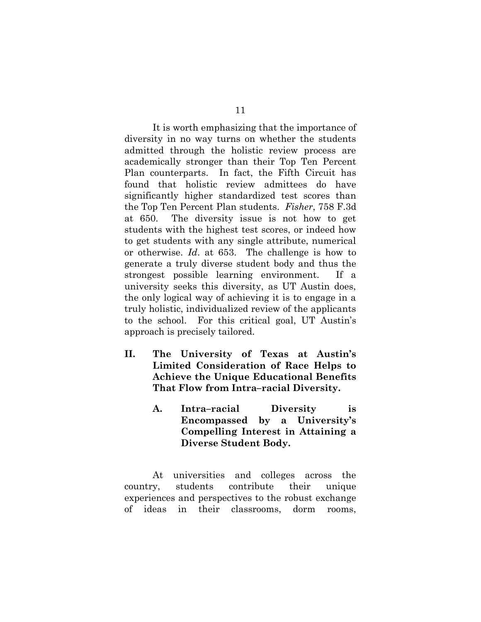It is worth emphasizing that the importance of diversity in no way turns on whether the students admitted through the holistic review process are academically stronger than their Top Ten Percent Plan counterparts. In fact, the Fifth Circuit has found that holistic review admittees do have significantly higher standardized test scores than the Top Ten Percent Plan students. *Fisher*, 758 F.3d at 650. The diversity issue is not how to get students with the highest test scores, or indeed how to get students with any single attribute, numerical or otherwise. *Id*. at 653. The challenge is how to generate a truly diverse student body and thus the strongest possible learning environment. If a university seeks this diversity, as UT Austin does, the only logical way of achieving it is to engage in a truly holistic, individualized review of the applicants to the school. For this critical goal, UT Austin's approach is precisely tailored.

- <span id="page-19-1"></span><span id="page-19-0"></span>**II. The University of Texas at Austin's Limited Consideration of Race Helps to Achieve the Unique Educational Benefits That Flow from Intra–racial Diversity.**
	- **A. Intra–racial Diversity is Encompassed by a University's Compelling Interest in Attaining a Diverse Student Body.**

At universities and colleges across the country, students contribute their unique experiences and perspectives to the robust exchange of ideas in their classrooms, dorm rooms,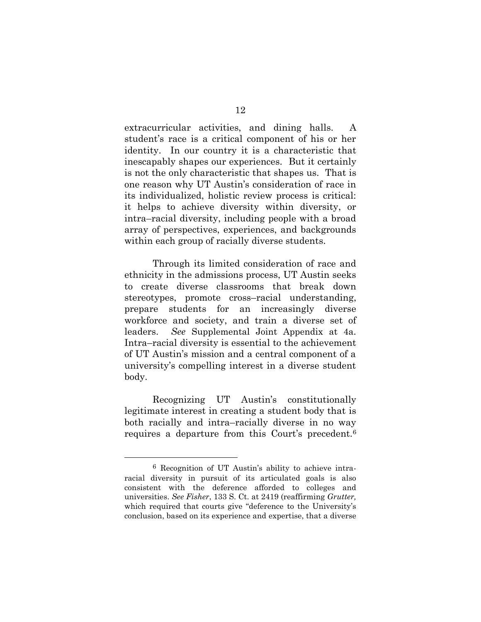extracurricular activities, and dining halls. A student's race is a critical component of his or her identity. In our country it is a characteristic that inescapably shapes our experiences. But it certainly is not the only characteristic that shapes us. That is one reason why UT Austin's consideration of race in its individualized, holistic review process is critical: it helps to achieve diversity within diversity, or intra–racial diversity, including people with a broad array of perspectives, experiences, and backgrounds within each group of racially diverse students.

Through its limited consideration of race and ethnicity in the admissions process, UT Austin seeks to create diverse classrooms that break down stereotypes, promote cross–racial understanding, prepare students for an increasingly diverse workforce and society, and train a diverse set of leaders. *See* Supplemental Joint Appendix at 4a. Intra–racial diversity is essential to the achievement of UT Austin's mission and a central component of a university's compelling interest in a diverse student body.

Recognizing UT Austin's constitutionally legitimate interest in creating a student body that is both racially and intra–racially diverse in no way requires a departure from this Court's precedent.<sup>6</sup>

l

<sup>6</sup> Recognition of UT Austin's ability to achieve intraracial diversity in pursuit of its articulated goals is also consistent with the deference afforded to colleges and universities. *See Fisher*, 133 S. Ct. at 2419 (reaffirming *Grutter,* which required that courts give "deference to the University's conclusion, based on its experience and expertise, that a diverse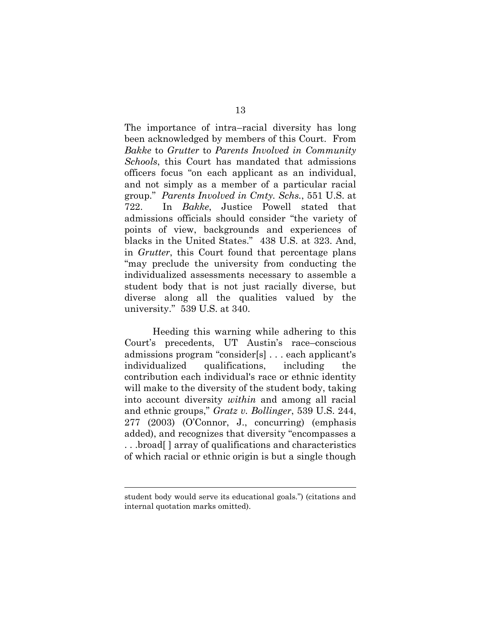The importance of intra–racial diversity has long been acknowledged by members of this Court. From *Bakke* to *Grutter* to *Parents Involved in Community Schools*, this Court has mandated that admissions officers focus "on each applicant as an individual, and not simply as a member of a particular racial group." *Parents Involved in Cmty. Schs.*, 551 U.S. at 722. In *Bakke*, Justice Powell stated that admissions officials should consider "the variety of points of view, backgrounds and experiences of blacks in the United States." 438 U.S. at 323. And, in *Grutter*, this Court found that percentage plans "may preclude the university from conducting the individualized assessments necessary to assemble a student body that is not just racially diverse, but diverse along all the qualities valued by the university." 539 U.S. at 340.

Heeding this warning while adhering to this Court's precedents, UT Austin's race–conscious admissions program "consider[s] . . . each applicant's individualized qualifications, including the contribution each individual's race or ethnic identity will make to the diversity of the student body, taking into account diversity *within* and among all racial and ethnic groups," *Gratz v. Bollinger*, 539 U.S. 244, 277 (2003) (O'Connor, J., concurring) (emphasis added), and recognizes that diversity "encompasses a . . .broad[ ] array of qualifications and characteristics of which racial or ethnic origin is but a single though

student body would serve its educational goals.") (citations and internal quotation marks omitted).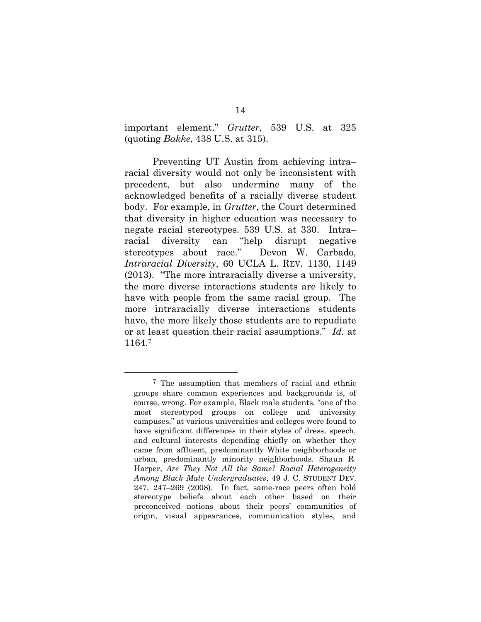important element." *Grutter*, 539 U.S. at 325 (quoting *Bakke*, 438 U.S. at 315).

Preventing UT Austin from achieving intra– racial diversity would not only be inconsistent with precedent, but also undermine many of the acknowledged benefits of a racially diverse student body. For example, in *Grutter*, the Court determined that diversity in higher education was necessary to negate racial stereotypes. 539 U.S. at 330. Intra– racial diversity can "help disrupt negative stereotypes about race." Devon W. Carbado, *Intraracial Diversity*, 60 UCLA L. REV. 1130, 1149 (2013). "The more intraracially diverse a university, the more diverse interactions students are likely to have with people from the same racial group. The more intraracially diverse interactions students have, the more likely those students are to repudiate or at least question their racial assumptions." *Id.* at 1164.<sup>7</sup>

<sup>7</sup> The assumption that members of racial and ethnic groups share common experiences and backgrounds is, of course, wrong. For example, Black male students, "one of the most stereotyped groups on college and university campuses," at various universities and colleges were found to have significant differences in their styles of dress, speech, and cultural interests depending chiefly on whether they came from affluent, predominantly White neighborhoods or urban, predominantly minority neighborhoods. Shaun R. Harper, *Are They Not All the Same? Racial Heterogeneity Among Black Male Undergraduates*, 49 J. C. STUDENT DEV. 247, 247–269 (2008). In fact, same-race peers often hold stereotype beliefs about each other based on their preconceived notions about their peers' communities of origin, visual appearances, communication styles, and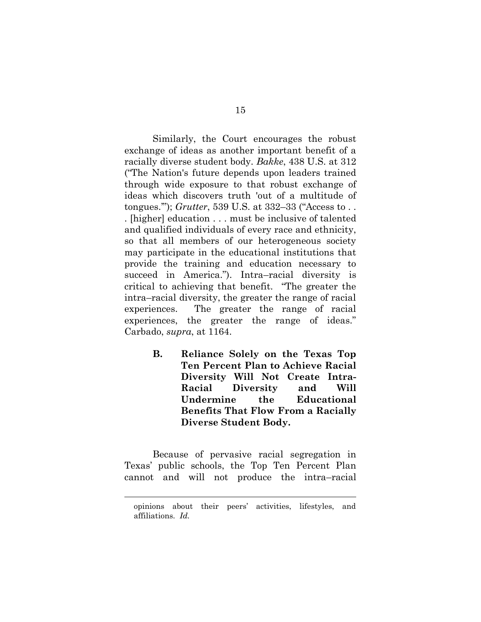Similarly, the Court encourages the robust exchange of ideas as another important benefit of a racially diverse student body. *Bakke*, 438 U.S. at 312 ("The Nation's future depends upon leaders trained through wide exposure to that robust exchange of ideas which discovers truth 'out of a multitude of tongues.'"); *Grutter*, 539 U.S. at 332–33 ("Access to . . . [higher] education . . . must be inclusive of talented and qualified individuals of every race and ethnicity, so that all members of our heterogeneous society may participate in the educational institutions that provide the training and education necessary to succeed in America."). Intra–racial diversity is critical to achieving that benefit. "The greater the intra–racial diversity, the greater the range of racial experiences. The greater the range of racial experiences, the greater the range of ideas." Carbado, *supra*, at 1164.

> <span id="page-23-0"></span>**B. Reliance Solely on the Texas Top Ten Percent Plan to Achieve Racial Diversity Will Not Create Intra-Racial Diversity and Will Undermine the Educational Benefits That Flow From a Racially Diverse Student Body.**

Because of pervasive racial segregation in Texas' public schools, the Top Ten Percent Plan cannot and will not produce the intra–racial

opinions about their peers' activities, lifestyles, and affiliations. *Id.*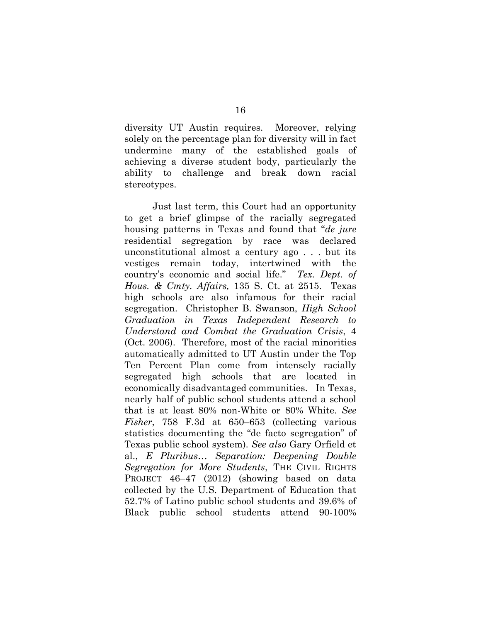diversity UT Austin requires. Moreover, relying solely on the percentage plan for diversity will in fact undermine many of the established goals of achieving a diverse student body, particularly the ability to challenge and break down racial stereotypes.

Just last term, this Court had an opportunity to get a brief glimpse of the racially segregated housing patterns in Texas and found that "*de jure* residential segregation by race was declared unconstitutional almost a century ago . . . but its vestiges remain today, intertwined with the country's economic and social life." *Tex. Dept. of Hous. & Cmty. Affairs,* 135 S. Ct. at 2515. Texas high schools are also infamous for their racial segregation. Christopher B. Swanson, *High School Graduation in Texas Independent Research to Understand and Combat the Graduation Crisis*, 4 (Oct. 2006). Therefore, most of the racial minorities automatically admitted to UT Austin under the Top Ten Percent Plan come from intensely racially segregated high schools that are located in economically disadvantaged communities. In Texas, nearly half of public school students attend a school that is at least 80% non-White or 80% White. *See Fisher*, 758 F.3d at 650–653 (collecting various statistics documenting the "de facto segregation" of Texas public school system). *See also* Gary Orfield et al., *E Pluribus… Separation: Deepening Double Segregation for More Students*, THE CIVIL RIGHTS PROJECT 46-47 (2012) (showing based on data collected by the U.S. Department of Education that 52.7% of Latino public school students and 39.6% of Black public school students attend 90-100%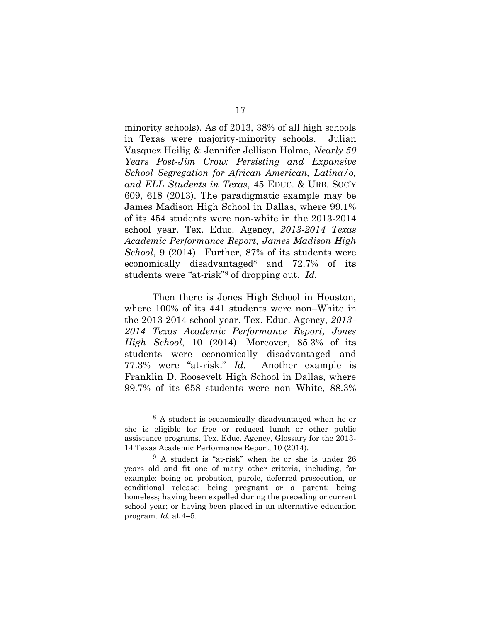minority schools). As of 2013, 38% of all high schools in Texas were majority-minority schools. Julian Vasquez Heilig & Jennifer Jellison Holme, *Nearly 50 Years Post-Jim Crow: Persisting and Expansive School Segregation for African American, Latina/o, and ELL Students in Texas*, 45 EDUC. & URB. SOC'Y 609, 618 (2013). The paradigmatic example may be James Madison High School in Dallas, where 99.1% of its 454 students were non-white in the 2013-2014 school year. Tex. Educ. Agency, *2013-2014 Texas Academic Performance Report, James Madison High School*, 9 (2014). Further, 87% of its students were economically disadvantaged<sup>8</sup> and 72.7% of its students were "at-risk"<sup>9</sup> of dropping out. *Id.*

Then there is Jones High School in Houston, where 100% of its 441 students were non–White in the 2013-2014 school year. Tex. Educ. Agency, *2013– 2014 Texas Academic Performance Report, Jones High School*, 10 (2014). Moreover, 85.3% of its students were economically disadvantaged and 77.3% were "at-risk." *Id.* Another example is Franklin D. Roosevelt High School in Dallas, where 99.7% of its 658 students were non–White, 88.3%

<sup>8</sup> A student is economically disadvantaged when he or she is eligible for free or reduced lunch or other public assistance programs. Tex. Educ. Agency, Glossary for the 2013- 14 Texas Academic Performance Report, 10 (2014).

<sup>9</sup> A student is "at-risk" when he or she is under 26 years old and fit one of many other criteria, including, for example: being on probation, parole, deferred prosecution, or conditional release; being pregnant or a parent; being homeless; having been expelled during the preceding or current school year; or having been placed in an alternative education program. *Id.* at 4–5.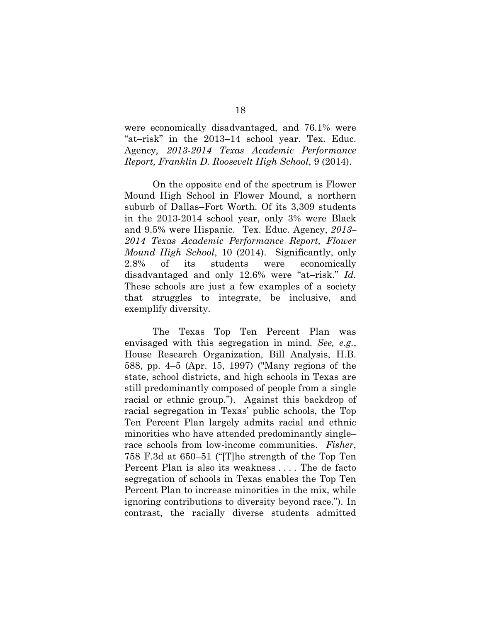were economically disadvantaged, and 76.1% were "at–risk" in the 2013–14 school year. Tex. Educ. Agency*, 2013-2014 Texas Academic Performance Report, Franklin D. Roosevelt High School*, 9 (2014).

On the opposite end of the spectrum is Flower Mound High School in Flower Mound, a northern suburb of Dallas–Fort Worth. Of its 3,309 students in the 2013-2014 school year, only 3% were Black and 9.5% were Hispanic. Tex. Educ. Agency, *2013– 2014 Texas Academic Performance Report, Flower Mound High School*, 10 (2014). Significantly, only 2.8% of its students were economically disadvantaged and only 12.6% were "at–risk." *Id.* These schools are just a few examples of a society that struggles to integrate, be inclusive, and exemplify diversity.

The Texas Top Ten Percent Plan was envisaged with this segregation in mind. *See, e.g.*, House Research Organization, Bill Analysis, H.B. 588, pp. 4–5 (Apr. 15, 1997) ("Many regions of the state, school districts, and high schools in Texas are still predominantly composed of people from a single racial or ethnic group."). Against this backdrop of racial segregation in Texas' public schools, the Top Ten Percent Plan largely admits racial and ethnic minorities who have attended predominantly single– race schools from low-income communities. *Fisher*, 758 F.3d at 650–51 ("[T]he strength of the Top Ten Percent Plan is also its weakness . . . . The de facto segregation of schools in Texas enables the Top Ten Percent Plan to increase minorities in the mix, while ignoring contributions to diversity beyond race."). In contrast, the racially diverse students admitted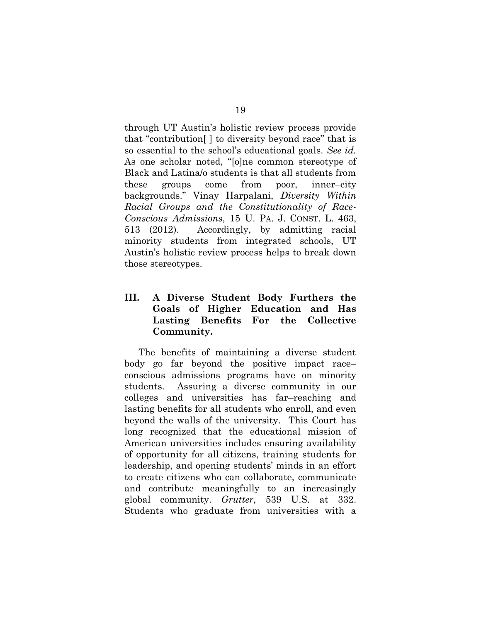through UT Austin's holistic review process provide that "contribution[ ] to diversity beyond race" that is so essential to the school's educational goals. *See id.* As one scholar noted, "[o]ne common stereotype of Black and Latina/o students is that all students from these groups come from poor, inner–city backgrounds." Vinay Harpalani, *Diversity Within Racial Groups and the Constitutionality of Race-Conscious Admissions*, 15 U. PA. J. CONST. L. 463, 513 (2012). Accordingly, by admitting racial minority students from integrated schools, UT Austin's holistic review process helps to break down those stereotypes.

## <span id="page-27-0"></span>**III. A Diverse Student Body Furthers the Goals of Higher Education and Has Lasting Benefits For the Collective Community.**

The benefits of maintaining a diverse student body go far beyond the positive impact race– conscious admissions programs have on minority students. Assuring a diverse community in our colleges and universities has far–reaching and lasting benefits for all students who enroll, and even beyond the walls of the university. This Court has long recognized that the educational mission of American universities includes ensuring availability of opportunity for all citizens, training students for leadership, and opening students' minds in an effort to create citizens who can collaborate, communicate and contribute meaningfully to an increasingly global community. *Grutter*, 539 U.S. at 332. Students who graduate from universities with a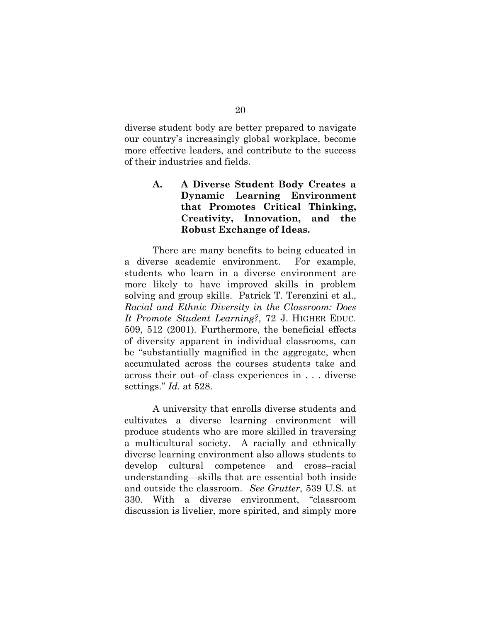diverse student body are better prepared to navigate our country's increasingly global workplace, become more effective leaders, and contribute to the success of their industries and fields.

> <span id="page-28-0"></span>**A. A Diverse Student Body Creates a Dynamic Learning Environment that Promotes Critical Thinking, Creativity, Innovation, and the Robust Exchange of Ideas.**

There are many benefits to being educated in a diverse academic environment. For example, students who learn in a diverse environment are more likely to have improved skills in problem solving and group skills. Patrick T. Terenzini et al., *Racial and Ethnic Diversity in the Classroom: Does It Promote Student Learning?*, 72 J. HIGHER EDUC. 509, 512 (2001)*.* Furthermore, the beneficial effects of diversity apparent in individual classrooms, can be "substantially magnified in the aggregate, when accumulated across the courses students take and across their out–of–class experiences in . . . diverse settings." *Id.* at 528.

A university that enrolls diverse students and cultivates a diverse learning environment will produce students who are more skilled in traversing a multicultural society. A racially and ethnically diverse learning environment also allows students to develop cultural competence and cross–racial understanding—skills that are essential both inside and outside the classroom. *See Grutter*, 539 U.S. at 330. With a diverse environment, "classroom discussion is livelier, more spirited, and simply more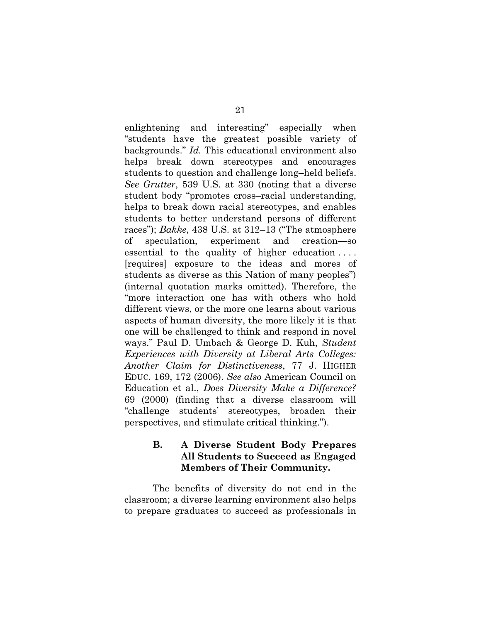enlightening and interesting" especially when "students have the greatest possible variety of backgrounds." *Id.* This educational environment also helps break down stereotypes and encourages students to question and challenge long–held beliefs. *See Grutter*, 539 U.S. at 330 (noting that a diverse student body "promotes cross–racial understanding, helps to break down racial stereotypes, and enables students to better understand persons of different races"); *Bakke*, 438 U.S. at 312–13 ("The atmosphere of speculation, experiment and creation—so essential to the quality of higher education . . . . [requires] exposure to the ideas and mores of students as diverse as this Nation of many peoples") (internal quotation marks omitted). Therefore, the "more interaction one has with others who hold different views, or the more one learns about various aspects of human diversity, the more likely it is that one will be challenged to think and respond in novel ways." Paul D. Umbach & George D. Kuh, *Student Experiences with Diversity at Liberal Arts Colleges: Another Claim for Distinctiveness*, 77 J. HIGHER EDUC. 169, 172 (2006). *See also* American Council on Education et al., *Does Diversity Make a Difference?* 69 (2000) (finding that a diverse classroom will "challenge students' stereotypes, broaden their perspectives, and stimulate critical thinking.").

### <span id="page-29-0"></span>**B. A Diverse Student Body Prepares All Students to Succeed as Engaged Members of Their Community.**

The benefits of diversity do not end in the classroom; a diverse learning environment also helps to prepare graduates to succeed as professionals in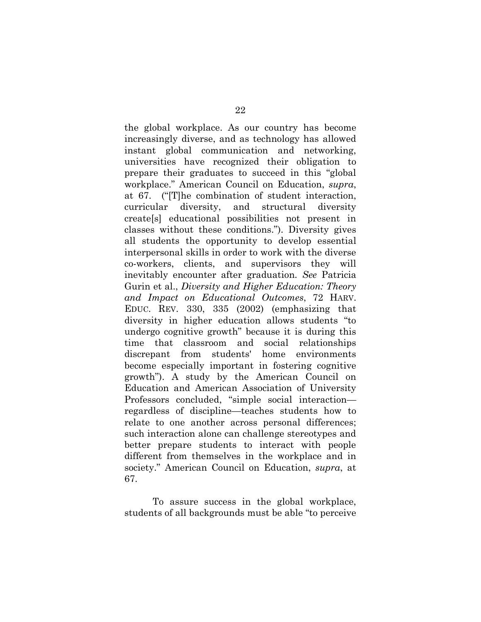the global workplace. As our country has become increasingly diverse, and as technology has allowed instant global communication and networking, universities have recognized their obligation to prepare their graduates to succeed in this "global workplace." American Council on Education, *supra*, at 67. ("[T]he combination of student interaction, curricular diversity, and structural diversity create[s] educational possibilities not present in classes without these conditions."). Diversity gives all students the opportunity to develop essential interpersonal skills in order to work with the diverse co-workers, clients, and supervisors they will inevitably encounter after graduation. *See* Patricia Gurin et al., *Diversity and Higher Education: Theory and Impact on Educational Outcomes*, 72 HARV. EDUC. REV. 330, 335 (2002) (emphasizing that diversity in higher education allows students "to undergo cognitive growth" because it is during this time that classroom and social relationships discrepant from students' home environments become especially important in fostering cognitive growth"). A study by the American Council on Education and American Association of University Professors concluded, "simple social interaction regardless of discipline—teaches students how to relate to one another across personal differences; such interaction alone can challenge stereotypes and better prepare students to interact with people different from themselves in the workplace and in society." American Council on Education, *supra*, at 67.

To assure success in the global workplace, students of all backgrounds must be able "to perceive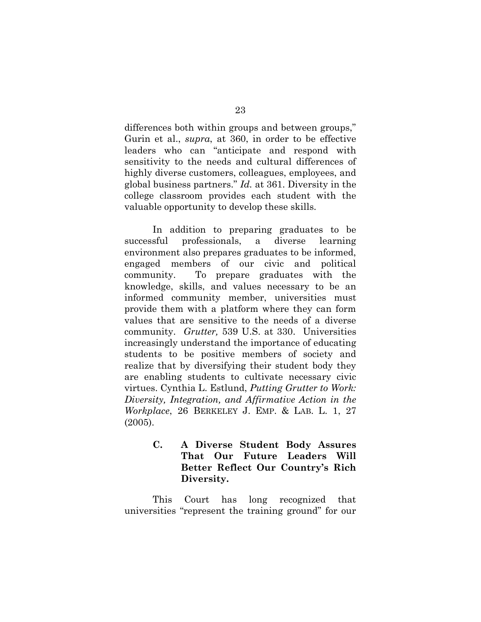differences both within groups and between groups," Gurin et al., *supra*, at 360, in order to be effective leaders who can "anticipate and respond with sensitivity to the needs and cultural differences of highly diverse customers, colleagues, employees, and global business partners." *Id.* at 361. Diversity in the college classroom provides each student with the valuable opportunity to develop these skills.

In addition to preparing graduates to be successful professionals, a diverse learning environment also prepares graduates to be informed, engaged members of our civic and political community. To prepare graduates with the knowledge, skills, and values necessary to be an informed community member, universities must provide them with a platform where they can form values that are sensitive to the needs of a diverse community. *Grutter,* 539 U.S. at 330. Universities increasingly understand the importance of educating students to be positive members of society and realize that by diversifying their student body they are enabling students to cultivate necessary civic virtues. Cynthia L. Estlund, *Putting Grutter to Work: Diversity, Integration, and Affirmative Action in the Workplace*, 26 BERKELEY J. EMP. & LAB. L. 1, 27 (2005).

> <span id="page-31-0"></span>**C. A Diverse Student Body Assures That Our Future Leaders Will Better Reflect Our Country's Rich Diversity.**

This Court has long recognized that universities "represent the training ground" for our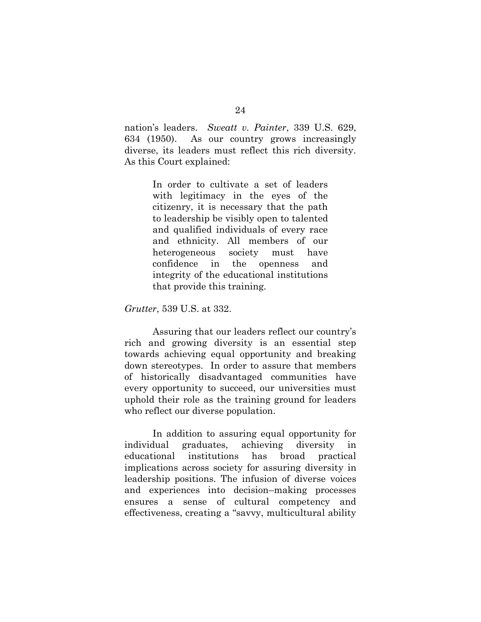nation's leaders. *Sweatt v. Painter*, 339 U.S. 629, 634 (1950). As our country grows increasingly diverse, its leaders must reflect this rich diversity. As this Court explained:

> In order to cultivate a set of leaders with legitimacy in the eyes of the citizenry, it is necessary that the path to leadership be visibly open to talented and qualified individuals of every race and ethnicity. All members of our heterogeneous society must have confidence in the openness and integrity of the educational institutions that provide this training.

*Grutter*, 539 U.S. at 332.

Assuring that our leaders reflect our country's rich and growing diversity is an essential step towards achieving equal opportunity and breaking down stereotypes. In order to assure that members of historically disadvantaged communities have every opportunity to succeed, our universities must uphold their role as the training ground for leaders who reflect our diverse population.

In addition to assuring equal opportunity for individual graduates, achieving diversity in educational institutions has broad practical implications across society for assuring diversity in leadership positions. The infusion of diverse voices and experiences into decision–making processes ensures a sense of cultural competency and effectiveness, creating a "savvy, multicultural ability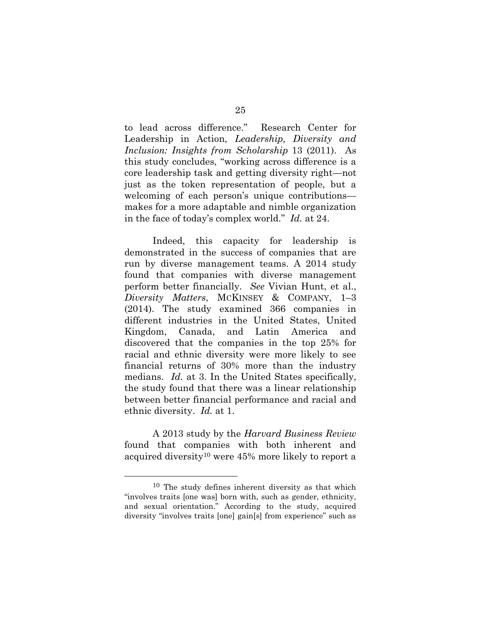to lead across difference." Research Center for Leadership in Action, *Leadership, Diversity and Inclusion: Insights from Scholarship* 13 (2011). As this study concludes, "working across difference is a core leadership task and getting diversity right—not just as the token representation of people, but a welcoming of each person's unique contributions makes for a more adaptable and nimble organization in the face of today's complex world." *Id.* at 24.

Indeed, this capacity for leadership is demonstrated in the success of companies that are run by diverse management teams. A 2014 study found that companies with diverse management perform better financially. *See* Vivian Hunt, et al., *Diversity Matters*, MCKINSEY & COMPANY, 1–3 (2014). The study examined 366 companies in different industries in the United States, United Kingdom, Canada, and Latin America and discovered that the companies in the top 25% for racial and ethnic diversity were more likely to see financial returns of 30% more than the industry medians. *Id.* at 3. In the United States specifically, the study found that there was a linear relationship between better financial performance and racial and ethnic diversity. *Id.* at 1.

A 2013 study by the *Harvard Business Review* found that companies with both inherent and acquired diversity<sup>10</sup> were 45% more likely to report a

<sup>10</sup> The study defines inherent diversity as that which "involves traits [one was] born with, such as gender, ethnicity, and sexual orientation." According to the study, acquired diversity "involves traits [one] gain[s] from experience" such as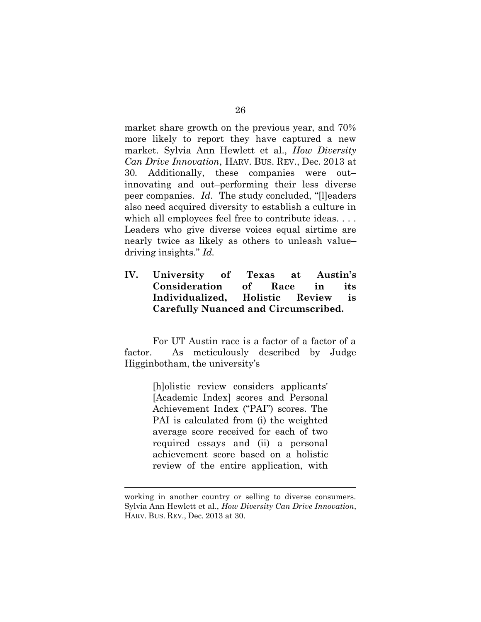market share growth on the previous year, and 70% more likely to report they have captured a new market. Sylvia Ann Hewlett et al., *How Diversity Can Drive Innovation*, HARV. BUS. REV., Dec. 2013 at 30*.* Additionally, these companies were out– innovating and out–performing their less diverse peer companies. *Id*. The study concluded, "[l]eaders also need acquired diversity to establish a culture in which all employees feel free to contribute ideas. . . . Leaders who give diverse voices equal airtime are nearly twice as likely as others to unleash value– driving insights." *Id.*

## <span id="page-34-0"></span>**IV. University of Texas at Austin's Consideration of Race in its Individualized, Holistic Review is Carefully Nuanced and Circumscribed.**

For UT Austin race is a factor of a factor of a factor. As meticulously described by Judge Higginbotham, the university's

> [h]olistic review considers applicants' [Academic Index] scores and Personal Achievement Index ("PAI") scores. The PAI is calculated from (i) the weighted average score received for each of two required essays and (ii) a personal achievement score based on a holistic review of the entire application, with

working in another country or selling to diverse consumers. Sylvia Ann Hewlett et al., *How Diversity Can Drive Innovation*, HARV. BUS. REV., Dec. 2013 at 30.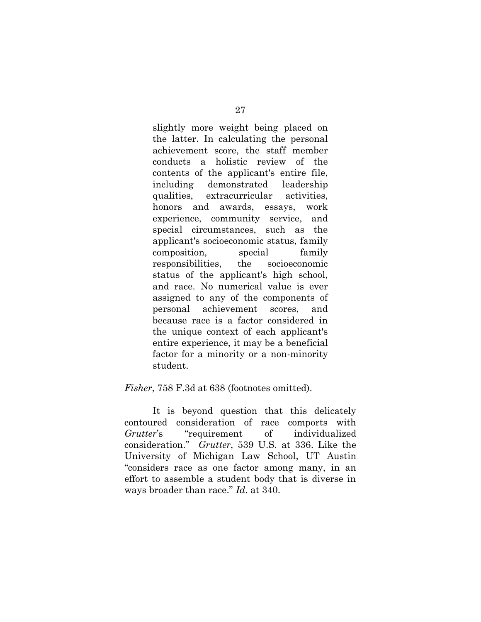slightly more weight being placed on the latter. In calculating the personal achievement score, the staff member conducts a holistic review of the contents of the applicant's entire file, including demonstrated leadership qualities, extracurricular activities, honors and awards, essays, work experience, community service, and special circumstances, such as the applicant's socioeconomic status, family composition, special family responsibilities, the socioeconomic status of the applicant's high school, and race. No numerical value is ever assigned to any of the components of personal achievement scores, and because race is a factor considered in the unique context of each applicant's entire experience, it may be a beneficial factor for a minority or a non-minority student.

#### *Fisher*, 758 F.3d at 638 (footnotes omitted).

It is beyond question that this delicately contoured consideration of race comports with *Grutter*'s "requirement of individualized consideration." *Grutter*, 539 U.S. at 336. Like the University of Michigan Law School, UT Austin "considers race as one factor among many, in an effort to assemble a student body that is diverse in ways broader than race." *Id*. at 340.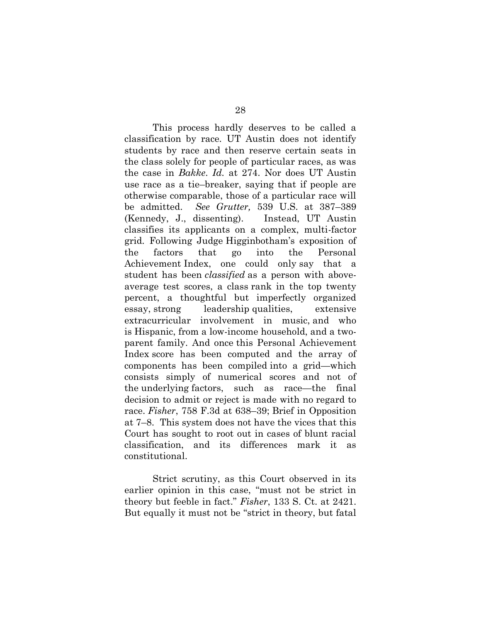This process hardly deserves to be called a classification by race. UT Austin does not identify students by race and then reserve certain seats in the class solely for people of particular races, as was the case in *Bakke*. *Id.* at 274. Nor does UT Austin use race as a tie–breaker, saying that if people are otherwise comparable, those of a particular race will be admitted. *See Grutter,* 539 U.S. at 387–389 (Kennedy, J., dissenting). Instead, UT Austin classifies its applicants on a complex, multi-factor grid. Following Judge Higginbotham's exposition of the factors that go into the Personal Achievement Index, one could only say that a student has been *classified* as a person with aboveaverage test scores, a class rank in the top twenty percent, a thoughtful but imperfectly organized essay, strong leadership qualities, extensive extracurricular involvement in music, and who is Hispanic, from a low-income household, and a twoparent family. And once this Personal Achievement Index score has been computed and the array of components has been compiled into a grid—which consists simply of numerical scores and not of the underlying factors, such as race—the final decision to admit or reject is made with no regard to race. *Fisher*, 758 F.3d at 638–39; Brief in Opposition at 7–8. This system does not have the vices that this Court has sought to root out in cases of blunt racial classification, and its differences mark it as constitutional.

Strict scrutiny, as this Court observed in its earlier opinion in this case, "must not be strict in theory but feeble in fact." *Fisher*, 133 S. Ct. at 2421. But equally it must not be "strict in theory, but fatal